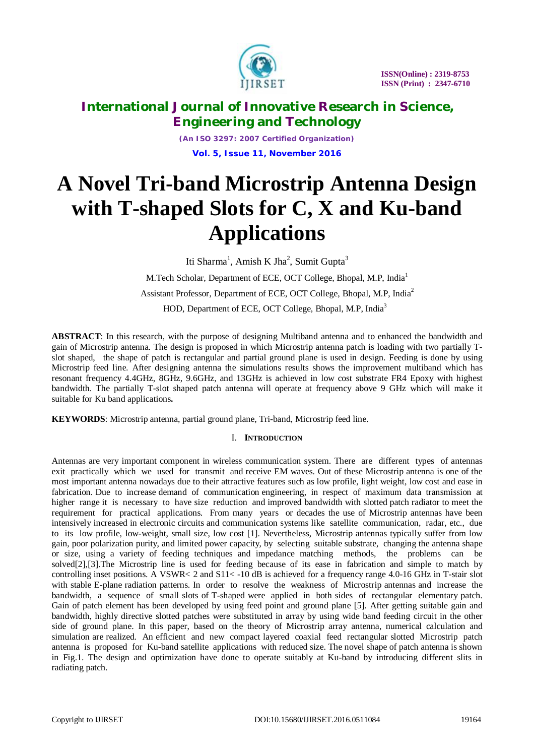

*(An ISO 3297: 2007 Certified Organization)* **Vol. 5, Issue 11, November 2016**

# **A Novel Tri-band Microstrip Antenna Design with T-shaped Slots for C, X and Ku-band Applications**

Iti Sharma<sup>1</sup>, Amish K Jha<sup>2</sup>, Sumit Gupta<sup>3</sup> M.Tech Scholar, Department of ECE, OCT College, Bhopal, M.P, India<sup>1</sup> Assistant Professor, Department of ECE, OCT College, Bhopal, M.P, India<sup>2</sup> HOD, Department of ECE, OCT College, Bhopal, M.P, India<sup>3</sup>

**ABSTRACT**: In this research, with the purpose of designing Multiband antenna and to enhanced the bandwidth and gain of Microstrip antenna. The design is proposed in which Microstrip antenna patch is loading with two partially Tslot shaped, the shape of patch is rectangular and partial ground plane is used in design. Feeding is done by using Microstrip feed line. After designing antenna the simulations results shows the improvement multiband which has resonant frequency 4.4GHz, 8GHz, 9.6GHz, and 13GHz is achieved in low cost substrate FR4 Epoxy with highest bandwidth. The partially T-slot shaped patch antenna will operate at frequency above 9 GHz which will make it suitable for Ku band applications**.** 

**KEYWORDS**: Microstrip antenna, partial ground plane, Tri-band, Microstrip feed line.

## I. **INTRODUCTION**

Antennas are very important component in wireless communication system. There are different types of antennas exit practically which we used for transmit and receive EM waves. Out of these Microstrip antenna is one of the most important antenna nowadays due to their attractive features such as low profile, light weight, low cost and ease in fabrication. Due to increase demand of communication engineering, in respect of maximum data transmission at higher range it is necessary to have size reduction and improved bandwidth with slotted patch radiator to meet the requirement for practical applications. From many years or decades the use of Microstrip antennas have been intensively increased in electronic circuits and communication systems like satellite communication, radar, etc., due to its low profile, low-weight, small size, low cost [1]. Nevertheless, Microstrip antennas typically suffer from low gain, poor polarization purity, and limited power capacity, by selecting suitable substrate, changing the antenna shape or size, using a variety of feeding techniques and impedance matching methods, the problems can be solved[2],[3].The Microstrip line is used for feeding because of its ease in fabrication and simple to match by controlling inset positions. A VSWR< 2 and S11< -10 dB is achieved for a frequency range 4.0-16 GHz in T-stair slot with stable E-plane radiation patterns. In order to resolve the weakness of Microstrip antennas and increase the bandwidth, a sequence of small slots of T-shaped were applied in both sides of rectangular elementary patch. Gain of patch element has been developed by using feed point and ground plane [5]. After getting suitable gain and bandwidth, highly directive slotted patches were substituted in array by using wide band feeding circuit in the other side of ground plane. In this paper, based on the theory of Microstrip array antenna, numerical calculation and simulation are realized. An efficient and new compact layered coaxial feed rectangular slotted Microstrip patch antenna is proposed for Ku-band satellite applications with reduced size. The novel shape of patch antenna is shown in Fig.1. The design and optimization have done to operate suitably at Ku-band by introducing different slits in radiating patch.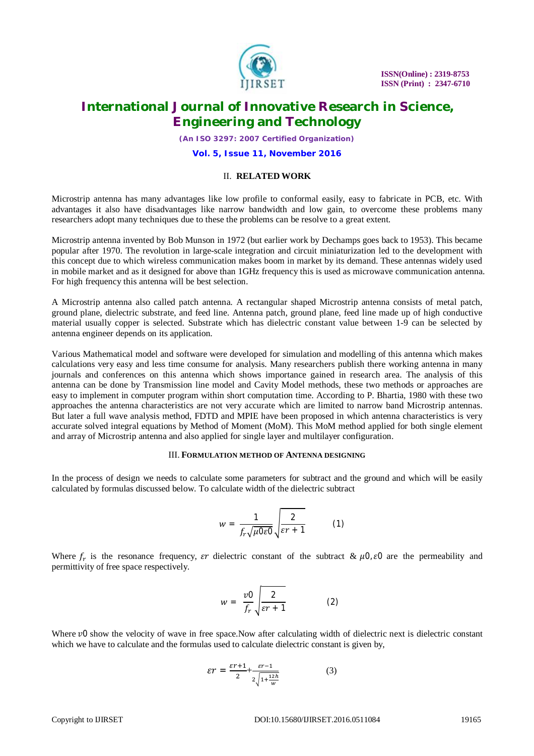

*(An ISO 3297: 2007 Certified Organization)*

**Vol. 5, Issue 11, November 2016**

## II. **RELATED WORK**

Microstrip antenna has many advantages like low profile to conformal easily, easy to fabricate in PCB, etc. With advantages it also have disadvantages like narrow bandwidth and low gain, to overcome these problems many researchers adopt many techniques due to these the problems can be resolve to a great extent.

Microstrip antenna invented by Bob Munson in 1972 (but earlier work by Dechamps goes back to 1953). This became popular after 1970. The revolution in large-scale integration and circuit miniaturization led to the development with this concept due to which wireless communication makes boom in market by its demand. These antennas widely used in mobile market and as it designed for above than 1GHz frequency this is used as microwave communication antenna. For high frequency this antenna will be best selection.

A Microstrip antenna also called patch antenna. A rectangular shaped Microstrip antenna consists of metal patch, ground plane, dielectric substrate, and feed line. Antenna patch, ground plane, feed line made up of high conductive material usually copper is selected. Substrate which has dielectric constant value between 1-9 can be selected by antenna engineer depends on its application.

Various Mathematical model and software were developed for simulation and modelling of this antenna which makes calculations very easy and less time consume for analysis. Many researchers publish there working antenna in many journals and conferences on this antenna which shows importance gained in research area. The analysis of this antenna can be done by Transmission line model and Cavity Model methods, these two methods or approaches are easy to implement in computer program within short computation time. According to P. Bhartia, 1980 with these two approaches the antenna characteristics are not very accurate which are limited to narrow band Microstrip antennas. But later a full wave analysis method, FDTD and MPIE have been proposed in which antenna characteristics is very accurate solved integral equations by Method of Moment (MoM). This MoM method applied for both single element and array of Microstrip antenna and also applied for single layer and multilayer configuration.

#### III. **FORMULATION METHOD OF ANTENNA DESIGNING**

In the process of design we needs to calculate some parameters for subtract and the ground and which will be easily calculated by formulas discussed below. To calculate width of the dielectric subtract

$$
w = \frac{1}{f_r\sqrt{\mu 0\varepsilon 0}}\sqrt{\frac{2}{\varepsilon r + 1}}\tag{1}
$$

Where  $f_r$  is the resonance frequency,  $\epsilon r$  dielectric constant of the subtract &  $\mu$ 0,  $\epsilon$ 0 are the permeability and permittivity of free space respectively.

$$
w = \frac{v0}{f_r} \sqrt{\frac{2}{\varepsilon r + 1}}
$$
 (2)

Where  $\nu$ 0 show the velocity of wave in free space. Now after calculating width of dielectric next is dielectric constant which we have to calculate and the formulas used to calculate dielectric constant is given by,

$$
\mathcal{E}\mathcal{T} = \frac{\varepsilon r + 1}{2} + \frac{\varepsilon r - 1}{2\sqrt{1 + \frac{12h}{w}}} \tag{3}
$$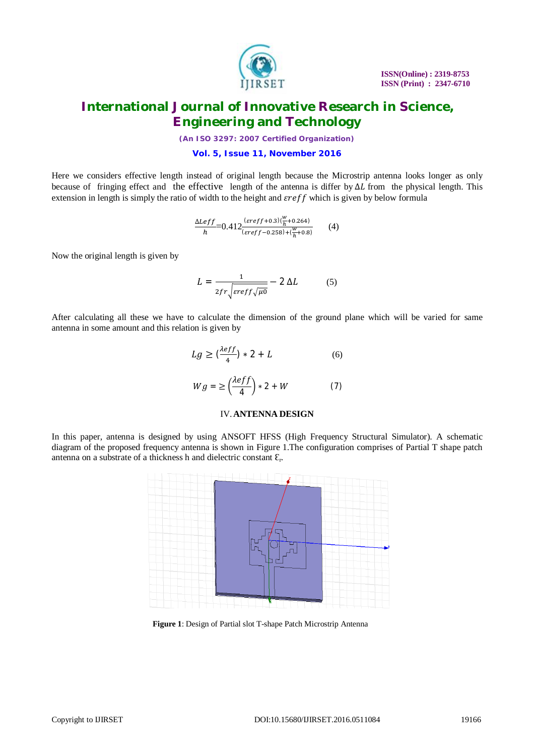

*(An ISO 3297: 2007 Certified Organization)*

## **Vol. 5, Issue 11, November 2016**

Here we considers effective length instead of original length because the Microstrip antenna looks longer as only because of fringing effect and the effective length of the antenna is differ by ΔL from the physical length. This extension in length is simply the ratio of width to the height and  $\epsilon \text{ref } f$  which is given by below formula

$$
\frac{\Delta Left}{h} = 0.412 \frac{(sreff + 0.3)\left(\frac{w}{h} + 0.264\right)}{(sreff - 0.258) + \left(\frac{w}{h} + 0.8\right)}\tag{4}
$$

Now the original length is given by

$$
L = \frac{1}{2fr\sqrt{\text{erff}\sqrt{\mu_0}}} - 2 \Delta L \tag{5}
$$

After calculating all these we have to calculate the dimension of the ground plane which will be varied for same antenna in some amount and this relation is given by

$$
Lg \ge \left(\frac{\lambda eff}{4}\right) * 2 + L \tag{6}
$$
  

$$
Wg = \ge \left(\frac{\lambda eff}{4}\right) * 2 + W \tag{7}
$$

## IV.**ANTENNA DESIGN**

In this paper, antenna is designed by using ANSOFT HFSS (High Frequency Structural Simulator). A schematic diagram of the proposed frequency antenna is shown in Figure 1.The configuration comprises of Partial T shape patch antenna on a substrate of a thickness h and dielectric constant  $\mathcal{E}_r$ .



**Figure 1**: Design of Partial slot T-shape Patch Microstrip Antenna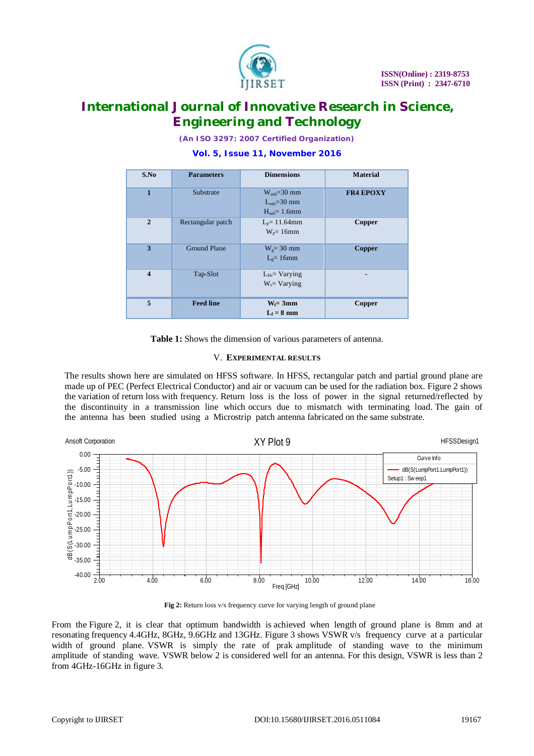

*(An ISO 3297: 2007 Certified Organization)*

## **Vol. 5, Issue 11, November 2016**

| S.No                    | <b>Parameters</b>   | <b>Dimensions</b>                               | <b>Material</b>  |
|-------------------------|---------------------|-------------------------------------------------|------------------|
| 1                       | Substrate           | $W_{sub}=30$ mm<br>$Lsub=30$ mm<br>$Hsub=1.6mm$ | <b>FR4 EPOXY</b> |
| $\overline{2}$          | Rectangular patch   | $L_p = 11.64$ mm<br>$W_p = 16$ mm               | Copper           |
| 3                       | <b>Ground Plane</b> | $Wg=30$ mm<br>$Lg=16mm$                         | Copper           |
| $\overline{\mathbf{4}}$ | Tap-Slot            | $L_{Hs}$ Varying<br>$W_s = Varying$             |                  |
| 5                       | <b>Feed line</b>    | $W_f = 3mm$<br>$L_f = 8$ mm                     | Copper           |

**Table 1:** Shows the dimension of various parameters of antenna.

## V. **EXPERIMENTAL RESULTS**

The results shown here are simulated on HFSS software. In HFSS, rectangular patch and partial ground plane are made up of PEC (Perfect Electrical Conductor) and air or vacuum can be used for the radiation box. Figure 2 shows the variation of return loss with frequency. Return loss is the loss of power in the signal returned/reflected by the discontinuity in a transmission line which occurs due to mismatch with terminating load. The gain of the antenna has been studied using a Microstrip patch antenna fabricated on the same substrate.



**Fig 2:** Return loss v/s frequency curve for varying length of ground plane

From the Figure 2, it is clear that optimum bandwidth is achieved when length of ground plane is 8mm and at resonating frequency 4.4GHz, 8GHz, 9.6GHz and 13GHz. Figure 3 shows VSWR v/s frequency curve at a particular width of ground plane. VSWR is simply the rate of prak amplitude of standing wave to the minimum amplitude of standing wave. VSWR below 2 is considered well for an antenna. For this design, VSWR is less than 2 from 4GHz-16GHz in figure 3.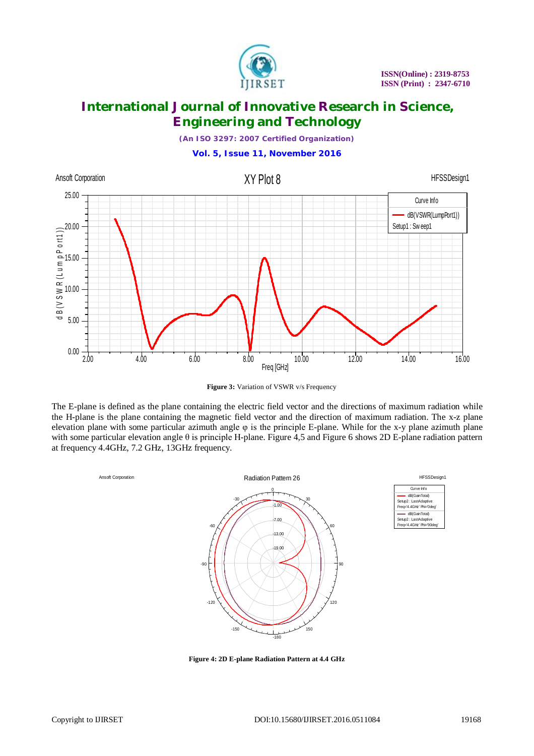

*(An ISO 3297: 2007 Certified Organization)*



**Figure 3:** Variation of VSWR v/s Frequency

The E-plane is defined as the plane containing the electric field vector and the directions of maximum radiation while the H-plane is the plane containing the magnetic field vector and the direction of maximum radiation. The x-z plane elevation plane with some particular azimuth angle  $\varphi$  is the principle E-plane. While for the x-y plane azimuth plane with some particular elevation angle θ is principle H-plane. Figure 4,5 and Figure 6 shows 2D E-plane radiation pattern at frequency 4.4GHz, 7.2 GHz, 13GHz frequency.



| HFSSDesian1                                                        |  |  |  |  |
|--------------------------------------------------------------------|--|--|--|--|
| Qurve Info                                                         |  |  |  |  |
| dB(GainTotal)<br>Setup2: LastAdaptive<br>Freg='4.4GHz' Phi='0deg'  |  |  |  |  |
| dB(GainTotal)<br>Setup2: LastAdaptive<br>Freq='4.4GHz' Phi='90deg' |  |  |  |  |

**Figure 4: 2D E-plane Radiation Pattern at 4.4 GHz**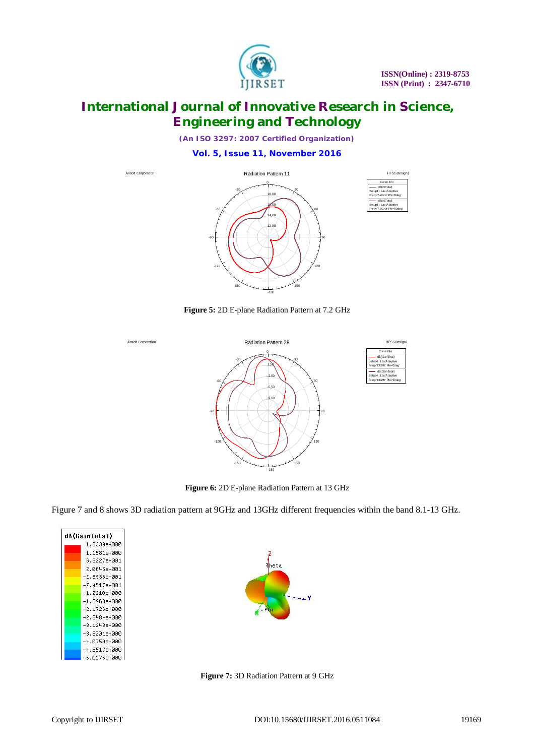

*(An ISO 3297: 2007 Certified Organization)*

**Vol. 5, Issue 11, November 2016**



**Figure 5:** 2D E-plane Radiation Pattern at 7.2 GHz



**Figure 6:** 2D E-plane Radiation Pattern at 13 GHz

Figure 7 and 8 shows 3D radiation pattern at 9GHz and 13GHz different frequencies within the band 8.1-13 GHz.

| dB(GainTotal)    |
|------------------|
| 1.6339е+000      |
| 1.1581е+000      |
| 6.8227е-001      |
| 2.0646е-001      |
| $-2.6936e - 001$ |
| $-7.4517e - 001$ |
| $-1.2210e + 000$ |
| -1.6968e+000     |
| -2.1726е+000     |
| $-2.6484e + 000$ |
| -3.1243е+ййй     |
| -3.6001e+000     |
| $-4.0759e + 000$ |
| $-4.5517e + 000$ |
| -5.0275е+000     |



**Figure 7:** 3D Radiation Pattern at 9 GHz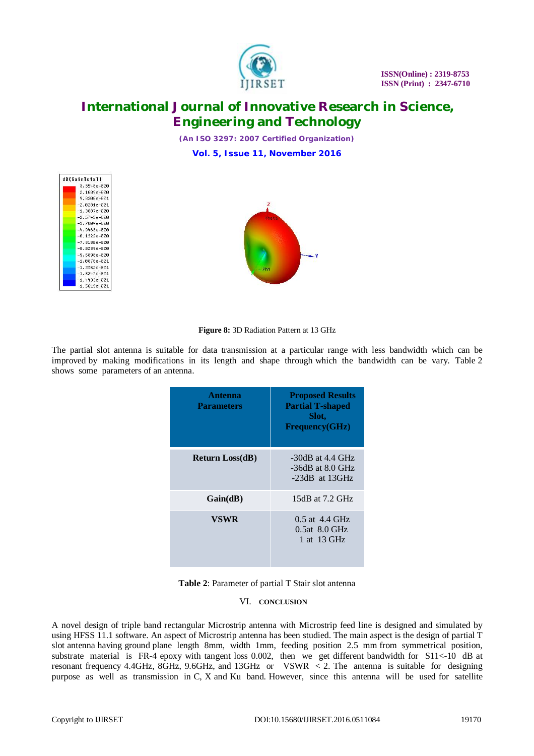

*(An ISO 3297: 2007 Certified Organization)*

**Vol. 5, Issue 11, November 2016**





**Figure 8:** 3D Radiation Pattern at 13 GHz

The partial slot antenna is suitable for data transmission at a particular range with less bandwidth which can be improved by making modifications in its length and shape through which the bandwidth can be vary. Table 2 shows some parameters of an antenna.

| Antenna<br><b>Parameters</b> | <b>Proposed Results</b><br><b>Partial T-shaped</b><br>Slot.<br>Frequency(GHz) |
|------------------------------|-------------------------------------------------------------------------------|
| <b>Return Loss(dB)</b>       | $-30dB$ at 4.4 GHz<br>$-36dB$ at 8.0 GHz<br>$-23dB$ at 13GHz                  |
| Gain(dB)                     | 15dB at 7.2 GHz                                                               |
| VSWR                         | $0.5$ at 4.4 GHz<br>$0.5at$ 8.0 GHz<br>1 at 13 GHz                            |



## VI. **CONCLUSION**

A novel design of triple band rectangular Microstrip antenna with Microstrip feed line is designed and simulated by using HFSS 11.1 software. An aspect of Microstrip antenna has been studied. The main aspect is the design of partial T slot antenna having ground plane length 8mm, width 1mm, feeding position 2.5 mm from symmetrical position, substrate material is FR-4 epoxy with tangent loss 0.002, then we get different bandwidth for S11<-10 dB at resonant frequency 4.4GHz, 8GHz, 9.6GHz, and 13GHz or VSWR < 2. The antenna is suitable for designing purpose as well as transmission in C, X and Ku band. However, since this antenna will be used for satellite